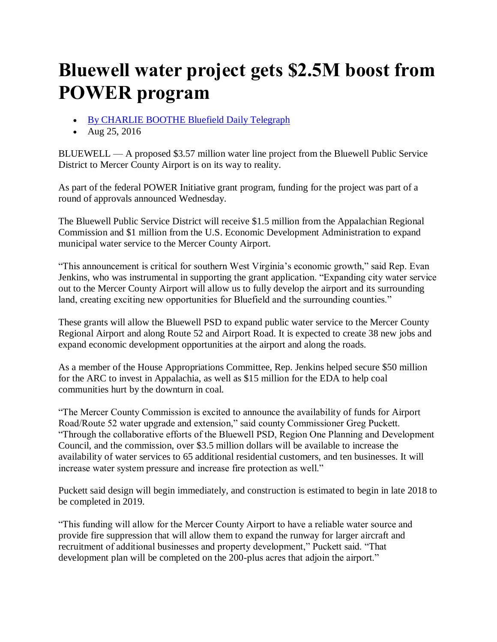## **Bluewell water project gets \$2.5M boost from POWER program**

- [By CHARLIE BOOTHE Bluefield Daily Telegraph](http://siteencore.com/cnhi/crossvillechronicle/loading.html#rotftwetu=aHR0cHMlM0EvL3d3dy5nb29nbGUuY29tLw%3D%3D&ibothsahtrtd=aHR0cHMlM0EvL3d3dy5iZHRvbmxpbmUuY29tL3VzZXJzL3Byb2ZpbGUvQ2hhcmxpZSUyNTIwQm9vdGhl&shtlp=aHR0cCUzQS8vd3d3LmJkdG9ubGluZS5jb20vbmV3cy9ibHVld2VsbC13YXRlci1wcm9qZWN0LWdldHMtbS1ib29zdC1mcm9tLXBvd2VyLXByb2dyYW0vYXJ0aWNsZV8zYjdjYmEwZS02YTE5LTExZTYtYmM5My0xYjk3ZTgxOWFiOWUuaHRtbA%3D%3D&otisu=aHR0cCUzQS8vc3RhdGljLmNuaGlvbmxpbmUuY29tL2NuaGkvc2l0ZXMvYmR0b25saW5lL2xtcy5odG1s&x=1272&y=-8&w=1296&h=1040&t=14869997659241&tokenID=YK7GEP1GLW7NNB1UPH15XF6GX7RCON00EZI&s=c2l0ZWVuY29yZS5jb20%3D)
- Aug  $25, 2016$

BLUEWELL — A proposed \$3.57 million water line project from the Bluewell Public Service District to Mercer County Airport is on its way to reality.

As part of the federal POWER Initiative grant program, funding for the project was part of a round of approvals announced Wednesday.

The Bluewell Public Service District will receive \$1.5 million from the Appalachian Regional Commission and \$1 million from the U.S. Economic Development Administration to expand municipal water service to the Mercer County Airport.

"This announcement is critical for southern West Virginia's economic growth," said Rep. Evan Jenkins, who was instrumental in supporting the grant application. "Expanding city water service out to the Mercer County Airport will allow us to fully develop the airport and its surrounding land, creating exciting new opportunities for Bluefield and the surrounding counties."

These grants will allow the Bluewell PSD to expand public water service to the Mercer County Regional Airport and along Route 52 and Airport Road. It is expected to create 38 new jobs and expand economic development opportunities at the airport and along the roads.

As a member of the House Appropriations Committee, Rep. Jenkins helped secure \$50 million for the ARC to invest in Appalachia, as well as \$15 million for the EDA to help coal communities hurt by the downturn in coal.

"The Mercer County Commission is excited to announce the availability of funds for Airport Road/Route 52 water upgrade and extension," said county Commissioner Greg Puckett. "Through the collaborative efforts of the Bluewell PSD, Region One Planning and Development Council, and the commission, over \$3.5 million dollars will be available to increase the availability of water services to 65 additional residential customers, and ten businesses. It will increase water system pressure and increase fire protection as well."

Puckett said design will begin immediately, and construction is estimated to begin in late 2018 to be completed in 2019.

"This funding will allow for the Mercer County Airport to have a reliable water source and provide fire suppression that will allow them to expand the runway for larger aircraft and recruitment of additional businesses and property development," Puckett said. "That development plan will be completed on the 200-plus acres that adjoin the airport."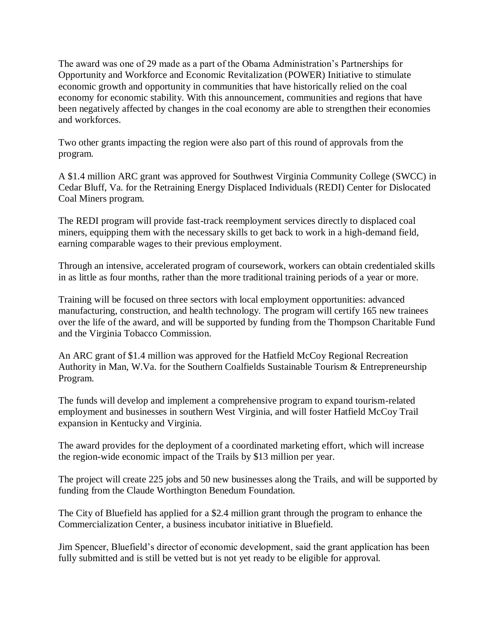The award was one of 29 made as a part of the Obama Administration's Partnerships for Opportunity and Workforce and Economic Revitalization (POWER) Initiative to stimulate economic growth and opportunity in communities that have historically relied on the coal economy for economic stability. With this announcement, communities and regions that have been negatively affected by changes in the coal economy are able to strengthen their economies and workforces.

Two other grants impacting the region were also part of this round of approvals from the program.

A \$1.4 million ARC grant was approved for Southwest Virginia Community College (SWCC) in Cedar Bluff, Va. for the Retraining Energy Displaced Individuals (REDI) Center for Dislocated Coal Miners program.

The REDI program will provide fast-track reemployment services directly to displaced coal miners, equipping them with the necessary skills to get back to work in a high-demand field, earning comparable wages to their previous employment.

Through an intensive, accelerated program of coursework, workers can obtain credentialed skills in as little as four months, rather than the more traditional training periods of a year or more.

Training will be focused on three sectors with local employment opportunities: advanced manufacturing, construction, and health technology. The program will certify 165 new trainees over the life of the award, and will be supported by funding from the Thompson Charitable Fund and the Virginia Tobacco Commission.

An ARC grant of \$1.4 million was approved for the Hatfield McCoy Regional Recreation Authority in Man, W.Va. for the Southern Coalfields Sustainable Tourism & Entrepreneurship Program.

The funds will develop and implement a comprehensive program to expand tourism-related employment and businesses in southern West Virginia, and will foster Hatfield McCoy Trail expansion in Kentucky and Virginia.

The award provides for the deployment of a coordinated marketing effort, which will increase the region-wide economic impact of the Trails by \$13 million per year.

The project will create 225 jobs and 50 new businesses along the Trails, and will be supported by funding from the Claude Worthington Benedum Foundation.

The City of Bluefield has applied for a \$2.4 million grant through the program to enhance the Commercialization Center, a business incubator initiative in Bluefield.

Jim Spencer, Bluefield's director of economic development, said the grant application has been fully submitted and is still be vetted but is not yet ready to be eligible for approval.